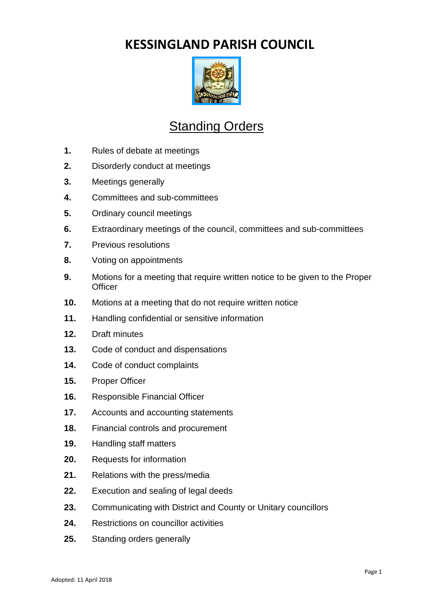# **KESSINGLAND PARISH COUNCIL**



# **Standing Orders**

- **1.** Rules of debate at meetings
- **2.** Disorderly conduct at meetings
- **3.** Meetings generally
- **4.** Committees and sub-committees
- **5.** Ordinary council meetings
- **6.** Extraordinary meetings of the council, committees and sub-committees
- **7.** Previous resolutions
- **8.** Voting on appointments
- **9.** Motions for a meeting that require written notice to be given to the Proper **Officer**
- **10.** Motions at a meeting that do not require written notice
- **11.** Handling confidential or sensitive information
- **12.** Draft minutes
- **13.** Code of conduct and dispensations
- **14.** Code of conduct complaints
- **15.** Proper Officer
- **16.** Responsible Financial Officer
- **17.** Accounts and accounting statements
- **18.** Financial controls and procurement
- **19.** Handling staff matters
- **20.** Requests for information
- **21.** Relations with the press/media
- **22.** Execution and sealing of legal deeds
- **23.** Communicating with District and County or Unitary councillors
- **24.** Restrictions on councillor activities
- **25.** Standing orders generally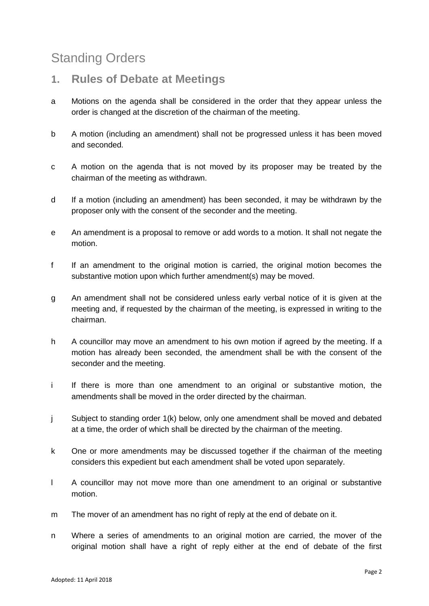# Standing Orders

# **1. Rules of Debate at Meetings**

- a Motions on the agenda shall be considered in the order that they appear unless the order is changed at the discretion of the chairman of the meeting.
- b A motion (including an amendment) shall not be progressed unless it has been moved and seconded.
- c A motion on the agenda that is not moved by its proposer may be treated by the chairman of the meeting as withdrawn.
- d If a motion (including an amendment) has been seconded, it may be withdrawn by the proposer only with the consent of the seconder and the meeting.
- e An amendment is a proposal to remove or add words to a motion. It shall not negate the motion.
- f If an amendment to the original motion is carried, the original motion becomes the substantive motion upon which further amendment(s) may be moved.
- g An amendment shall not be considered unless early verbal notice of it is given at the meeting and, if requested by the chairman of the meeting, is expressed in writing to the chairman.
- h A councillor may move an amendment to his own motion if agreed by the meeting. If a motion has already been seconded, the amendment shall be with the consent of the seconder and the meeting.
- i If there is more than one amendment to an original or substantive motion, the amendments shall be moved in the order directed by the chairman.
- j Subject to standing order 1(k) below, only one amendment shall be moved and debated at a time, the order of which shall be directed by the chairman of the meeting.
- k One or more amendments may be discussed together if the chairman of the meeting considers this expedient but each amendment shall be voted upon separately.
- l A councillor may not move more than one amendment to an original or substantive motion.
- m The mover of an amendment has no right of reply at the end of debate on it.
- n Where a series of amendments to an original motion are carried, the mover of the original motion shall have a right of reply either at the end of debate of the first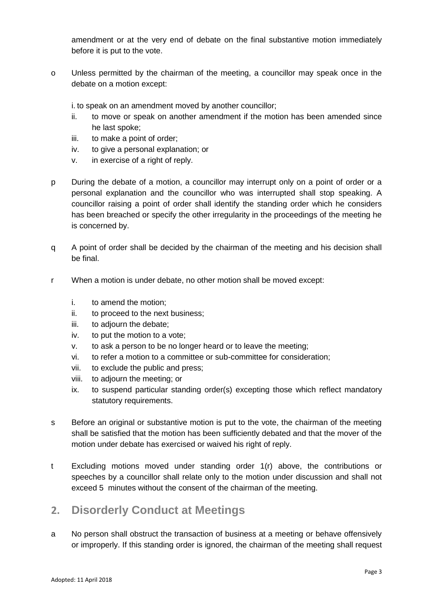amendment or at the very end of debate on the final substantive motion immediately before it is put to the vote.

o Unless permitted by the chairman of the meeting, a councillor may speak once in the debate on a motion except:

i. to speak on an amendment moved by another councillor;

- ii. to move or speak on another amendment if the motion has been amended since he last spoke;
- iii. to make a point of order;
- iv. to give a personal explanation; or
- v. in exercise of a right of reply.
- p During the debate of a motion, a councillor may interrupt only on a point of order or a personal explanation and the councillor who was interrupted shall stop speaking. A councillor raising a point of order shall identify the standing order which he considers has been breached or specify the other irregularity in the proceedings of the meeting he is concerned by.
- q A point of order shall be decided by the chairman of the meeting and his decision shall be final.
- r When a motion is under debate, no other motion shall be moved except:
	- i. to amend the motion;
	- ii. to proceed to the next business;
	- iii. to adjourn the debate;
	- iv. to put the motion to a vote;
	- v. to ask a person to be no longer heard or to leave the meeting;
	- vi. to refer a motion to a committee or sub-committee for consideration;
	- vii. to exclude the public and press;
	- viii. to adjourn the meeting; or
	- ix. to suspend particular standing order(s) excepting those which reflect mandatory statutory requirements.
- s Before an original or substantive motion is put to the vote, the chairman of the meeting shall be satisfied that the motion has been sufficiently debated and that the mover of the motion under debate has exercised or waived his right of reply.
- t Excluding motions moved under standing order 1(r) above, the contributions or speeches by a councillor shall relate only to the motion under discussion and shall not exceed 5 minutes without the consent of the chairman of the meeting.

# **2. Disorderly Conduct at Meetings**

a No person shall obstruct the transaction of business at a meeting or behave offensively or improperly. If this standing order is ignored, the chairman of the meeting shall request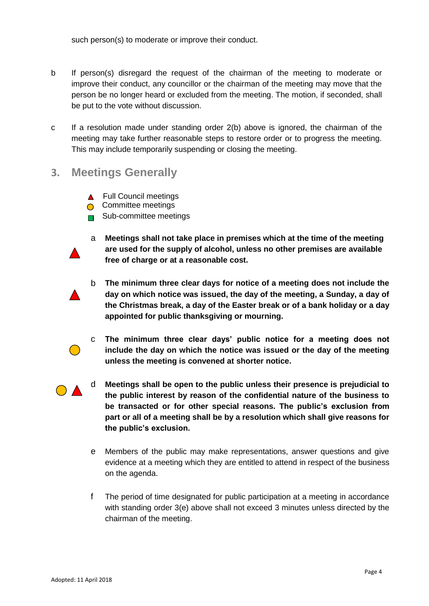such person(s) to moderate or improve their conduct.

- b If person(s) disregard the request of the chairman of the meeting to moderate or improve their conduct, any councillor or the chairman of the meeting may move that the person be no longer heard or excluded from the meeting. The motion, if seconded, shall be put to the vote without discussion.
- c If a resolution made under standing order 2(b) above is ignored, the chairman of the meeting may take further reasonable steps to restore order or to progress the meeting. This may include temporarily suspending or closing the meeting.
- **3. Meetings Generally**
	- **A** Full Council meetings
	- **Committee meetings**
	- $\blacksquare$  Sub-committee meetings
	- a **Meetings shall not take place in premises which at the time of the meeting are used for the supply of alcohol, unless no other premises are available free of charge or at a reasonable cost.**
	- b **The minimum three clear days for notice of a meeting does not include the day on which notice was issued, the day of the meeting, a Sunday, a day of the Christmas break, a day of the Easter break or of a bank holiday or a day appointed for public thanksgiving or mourning.**
	- c **The minimum three clear days' public notice for a meeting does not include the day on which the notice was issued or the day of the meeting unless the meeting is convened at shorter notice.**
	-
- d **Meetings shall be open to the public unless their presence is prejudicial to the public interest by reason of the confidential nature of the business to be transacted or for other special reasons. The public's exclusion from part or all of a meeting shall be by a resolution which shall give reasons for the public's exclusion.**
- e Members of the public may make representations, answer questions and give evidence at a meeting which they are entitled to attend in respect of the business on the agenda.
- f The period of time designated for public participation at a meeting in accordance with standing order 3(e) above shall not exceed 3 minutes unless directed by the chairman of the meeting.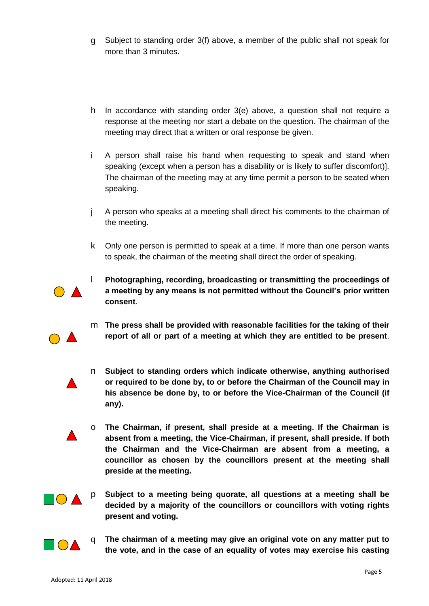- g Subject to standing order 3(f) above, a member of the public shall not speak for more than 3 minutes.
- h In accordance with standing order 3(e) above, a question shall not require a response at the meeting nor start a debate on the question. The chairman of the meeting may direct that a written or oral response be given.
- i A person shall raise his hand when requesting to speak and stand when speaking (except when a person has a disability or is likely to suffer discomfort)]. The chairman of the meeting may at any time permit a person to be seated when speaking.
- j A person who speaks at a meeting shall direct his comments to the chairman of the meeting.
- k Only one person is permitted to speak at a time. If more than one person wants to speak, the chairman of the meeting shall direct the order of speaking.



l **Photographing, recording, broadcasting or transmitting the proceedings of a meeting by any means is not permitted without the Council's prior written consent**.

- m **The press shall be provided with reasonable facilities for the taking of their report of all or part of a meeting at which they are entitled to be present**.
- n **Subject to standing orders which indicate otherwise, anything authorised or required to be done by, to or before the Chairman of the Council may in his absence be done by, to or before the Vice-Chairman of the Council (if any).**
- o **The Chairman, if present, shall preside at a meeting. If the Chairman is absent from a meeting, the Vice-Chairman, if present, shall preside. If both the Chairman and the Vice-Chairman are absent from a meeting, a councillor as chosen by the councillors present at the meeting shall preside at the meeting.**



p **Subject to a meeting being quorate, all questions at a meeting shall be decided by a majority of the councillors or councillors with voting rights present and voting.**



q **The chairman of a meeting may give an original vote on any matter put to the vote, and in the case of an equality of votes may exercise his casting**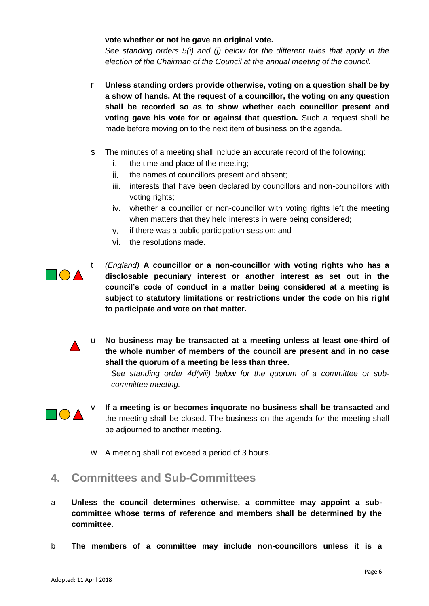#### **vote whether or not he gave an original vote.**

*See standing orders 5(i) and (j) below for the different rules that apply in the election of the Chairman of the Council at the annual meeting of the council.*

- r **Unless standing orders provide otherwise, voting on a question shall be by a show of hands. At the request of a councillor, the voting on any question shall be recorded so as to show whether each councillor present and voting gave his vote for or against that question.** Such a request shall be made before moving on to the next item of business on the agenda.
- s The minutes of a meeting shall include an accurate record of the following:
	- i. the time and place of the meeting;
	- ii. the names of councillors present and absent;
	- iii. interests that have been declared by councillors and non-councillors with voting rights;
	- iv. whether a councillor or non-councillor with voting rights left the meeting when matters that they held interests in were being considered;
	- v. if there was a public participation session; and
	- vi. the resolutions made.

 $\blacksquare \bigcap \blacktriangle$ 

- t *(England)* **A councillor or a non-councillor with voting rights who has a disclosable pecuniary interest or another interest as set out in the council's code of conduct in a matter being considered at a meeting is subject to statutory limitations or restrictions under the code on his right to participate and vote on that matter.**
- 
- u **No business may be transacted at a meeting unless at least one-third of the whole number of members of the council are present and in no case shall the quorum of a meeting be less than three.**

*See standing order 4d(viii) below for the quorum of a committee or subcommittee meeting.* 



- **If a meeting is or becomes inquorate no business shall be transacted** and the meeting shall be doned. The business shall be transacted and the meeting shall be closed. The business on the agenda for the meeting shall be adjourned to another meeting.
	- w A meeting shall not exceed a period of 3 hours.
- **4. Committees and Sub-Committees**
- a **Unless the council determines otherwise, a committee may appoint a subcommittee whose terms of reference and members shall be determined by the committee.**
- b **The members of a committee may include non-councillors unless it is a**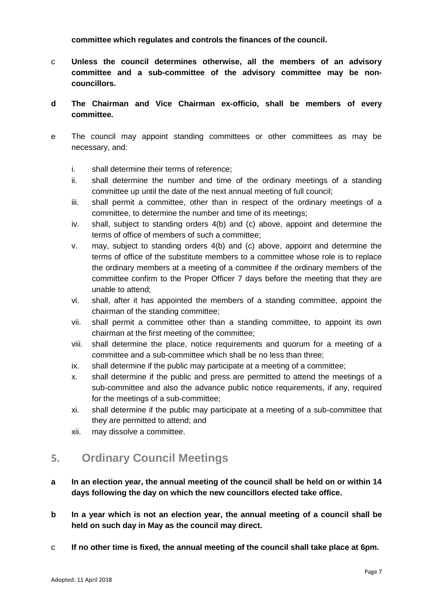**committee which regulates and controls the finances of the council.**

- c **Unless the council determines otherwise, all the members of an advisory committee and a sub-committee of the advisory committee may be noncouncillors.**
- **d The Chairman and Vice Chairman ex-officio, shall be members of every committee.**
- e The council may appoint standing committees or other committees as may be necessary, and:
	- i. shall determine their terms of reference;
	- ii. shall determine the number and time of the ordinary meetings of a standing committee up until the date of the next annual meeting of full council;
	- iii. shall permit a committee, other than in respect of the ordinary meetings of a committee, to determine the number and time of its meetings;
	- iv. shall, subject to standing orders 4(b) and (c) above, appoint and determine the terms of office of members of such a committee;
	- v. may, subject to standing orders 4(b) and (c) above, appoint and determine the terms of office of the substitute members to a committee whose role is to replace the ordinary members at a meeting of a committee if the ordinary members of the committee confirm to the Proper Officer 7 days before the meeting that they are unable to attend;
	- vi. shall, after it has appointed the members of a standing committee, appoint the chairman of the standing committee;
	- vii. shall permit a committee other than a standing committee, to appoint its own chairman at the first meeting of the committee;
	- viii. shall determine the place, notice requirements and quorum for a meeting of a committee and a sub-committee which shall be no less than three;
	- ix. shall determine if the public may participate at a meeting of a committee;
	- x. shall determine if the public and press are permitted to attend the meetings of a sub-committee and also the advance public notice requirements, if any, required for the meetings of a sub-committee;
	- xi. shall determine if the public may participate at a meeting of a sub-committee that they are permitted to attend; and
	- xii. may dissolve a committee.

# **5. Ordinary Council Meetings**

- **a In an election year, the annual meeting of the council shall be held on or within 14 days following the day on which the new councillors elected take office.**
- **b In a year which is not an election year, the annual meeting of a council shall be held on such day in May as the council may direct.**
- c **If no other time is fixed, the annual meeting of the council shall take place at 6pm.**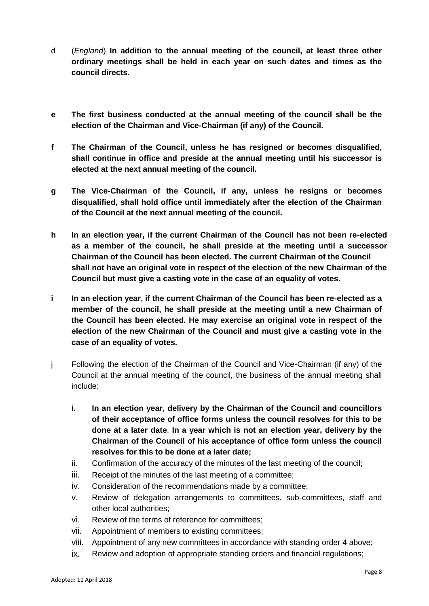- d (*England*) **In addition to the annual meeting of the council, at least three other ordinary meetings shall be held in each year on such dates and times as the council directs.**
- **e The first business conducted at the annual meeting of the council shall be the election of the Chairman and Vice-Chairman (if any) of the Council.**
- **f The Chairman of the Council, unless he has resigned or becomes disqualified, shall continue in office and preside at the annual meeting until his successor is elected at the next annual meeting of the council.**
- **g The Vice-Chairman of the Council, if any, unless he resigns or becomes disqualified, shall hold office until immediately after the election of the Chairman of the Council at the next annual meeting of the council.**
- **h In an election year, if the current Chairman of the Council has not been re-elected as a member of the council, he shall preside at the meeting until a successor Chairman of the Council has been elected. The current Chairman of the Council shall not have an original vote in respect of the election of the new Chairman of the Council but must give a casting vote in the case of an equality of votes.**
- **i In an election year, if the current Chairman of the Council has been re-elected as a member of the council, he shall preside at the meeting until a new Chairman of the Council has been elected. He may exercise an original vote in respect of the election of the new Chairman of the Council and must give a casting vote in the case of an equality of votes.**
- j Following the election of the Chairman of the Council and Vice-Chairman (if any) of the Council at the annual meeting of the council, the business of the annual meeting shall include:
	- i. **In an election year, delivery by the Chairman of the Council and councillors of their acceptance of office forms unless the council resolves for this to be done at a later date**. **In a year which is not an election year, delivery by the Chairman of the Council of his acceptance of office form unless the council resolves for this to be done at a later date;**
	- ii. Confirmation of the accuracy of the minutes of the last meeting of the council;
	- iii. Receipt of the minutes of the last meeting of a committee;
	- iv. Consideration of the recommendations made by a committee;
	- v. Review of delegation arrangements to committees, sub-committees, staff and other local authorities;
	- vi. Review of the terms of reference for committees;
	- vii. Appointment of members to existing committees;
	- viii. Appointment of any new committees in accordance with standing order 4 above;
	- ix. Review and adoption of appropriate standing orders and financial regulations;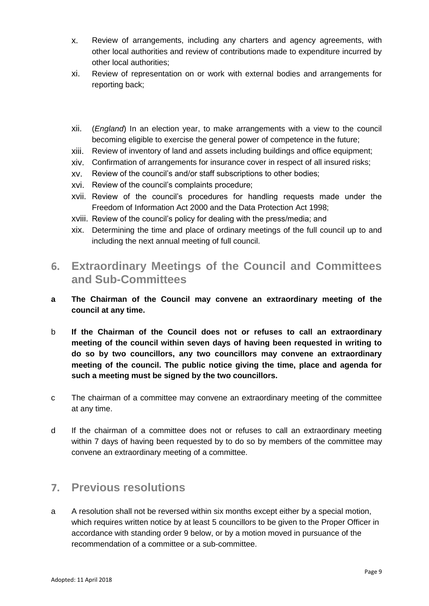- x. Review of arrangements, including any charters and agency agreements, with other local authorities and review of contributions made to expenditure incurred by other local authorities;
- xi. Review of representation on or work with external bodies and arrangements for reporting back;
- xii. (*England*) In an election year, to make arrangements with a view to the council becoming eligible to exercise the general power of competence in the future;
- xiii. Review of inventory of land and assets including buildings and office equipment;
- xiv. Confirmation of arrangements for insurance cover in respect of all insured risks;
- xv. Review of the council's and/or staff subscriptions to other bodies;
- xvi. Review of the council's complaints procedure;
- xvii. Review of the council's procedures for handling requests made under the Freedom of Information Act 2000 and the Data Protection Act 1998;
- xviii. Review of the council's policy for dealing with the press/media; and
- xix. Determining the time and place of ordinary meetings of the full council up to and including the next annual meeting of full council.
- **6. Extraordinary Meetings of the Council and Committees and Sub-Committees**
- **a The Chairman of the Council may convene an extraordinary meeting of the council at any time.**
- b **If the Chairman of the Council does not or refuses to call an extraordinary meeting of the council within seven days of having been requested in writing to do so by two councillors, any two councillors may convene an extraordinary meeting of the council. The public notice giving the time, place and agenda for such a meeting must be signed by the two councillors.**
- c The chairman of a committee may convene an extraordinary meeting of the committee at any time.
- d If the chairman of a committee does not or refuses to call an extraordinary meeting within 7 days of having been requested by to do so by members of the committee may convene an extraordinary meeting of a committee.

# **7. Previous resolutions**

a A resolution shall not be reversed within six months except either by a special motion, which requires written notice by at least 5 councillors to be given to the Proper Officer in accordance with standing order 9 below, or by a motion moved in pursuance of the recommendation of a committee or a sub-committee.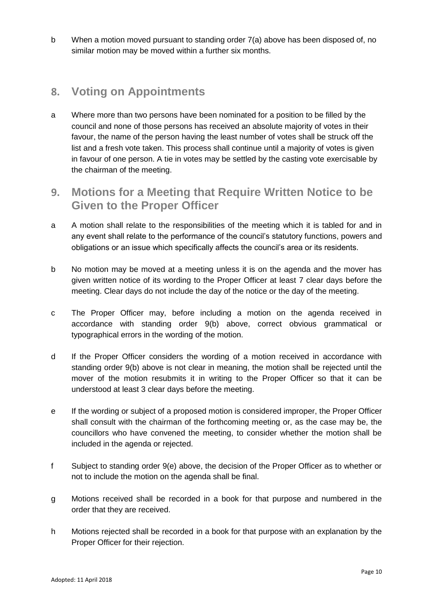b When a motion moved pursuant to standing order 7(a) above has been disposed of, no similar motion may be moved within a further six months.

# **8. Voting on Appointments**

- a Where more than two persons have been nominated for a position to be filled by the council and none of those persons has received an absolute majority of votes in their favour, the name of the person having the least number of votes shall be struck off the list and a fresh vote taken. This process shall continue until a majority of votes is given in favour of one person. A tie in votes may be settled by the casting vote exercisable by the chairman of the meeting.
- **9. Motions for a Meeting that Require Written Notice to be Given to the Proper Officer**
- a A motion shall relate to the responsibilities of the meeting which it is tabled for and in any event shall relate to the performance of the council's statutory functions, powers and obligations or an issue which specifically affects the council's area or its residents.
- b No motion may be moved at a meeting unless it is on the agenda and the mover has given written notice of its wording to the Proper Officer at least 7 clear days before the meeting. Clear days do not include the day of the notice or the day of the meeting.
- c The Proper Officer may, before including a motion on the agenda received in accordance with standing order 9(b) above, correct obvious grammatical or typographical errors in the wording of the motion.
- d If the Proper Officer considers the wording of a motion received in accordance with standing order 9(b) above is not clear in meaning, the motion shall be rejected until the mover of the motion resubmits it in writing to the Proper Officer so that it can be understood at least 3 clear days before the meeting.
- e If the wording or subject of a proposed motion is considered improper, the Proper Officer shall consult with the chairman of the forthcoming meeting or, as the case may be, the councillors who have convened the meeting, to consider whether the motion shall be included in the agenda or rejected.
- f Subject to standing order 9(e) above, the decision of the Proper Officer as to whether or not to include the motion on the agenda shall be final.
- g Motions received shall be recorded in a book for that purpose and numbered in the order that they are received.
- h Motions rejected shall be recorded in a book for that purpose with an explanation by the Proper Officer for their rejection.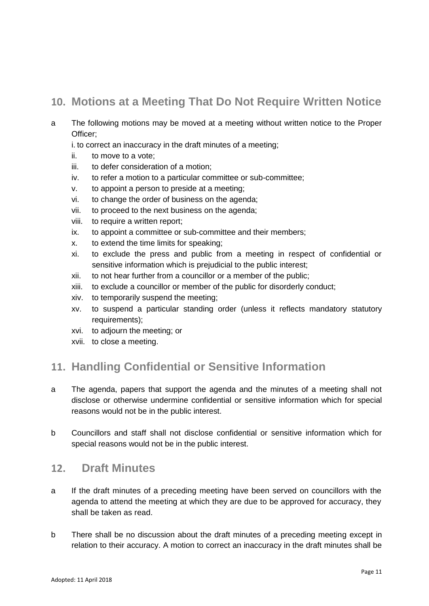# **10. Motions at a Meeting That Do Not Require Written Notice**

- a The following motions may be moved at a meeting without written notice to the Proper Officer;
	- i. to correct an inaccuracy in the draft minutes of a meeting;
	- ii. to move to a vote;
	- iii. to defer consideration of a motion;
	- iv. to refer a motion to a particular committee or sub-committee;
	- v. to appoint a person to preside at a meeting;
	- vi. to change the order of business on the agenda;
	- vii. to proceed to the next business on the agenda;
	- viii. to require a written report;
	- ix. to appoint a committee or sub-committee and their members;
	- x. to extend the time limits for speaking;
	- xi. to exclude the press and public from a meeting in respect of confidential or sensitive information which is prejudicial to the public interest;
	- xii. to not hear further from a councillor or a member of the public;
	- xiii. to exclude a councillor or member of the public for disorderly conduct;
	- xiv. to temporarily suspend the meeting;
	- xv. to suspend a particular standing order (unless it reflects mandatory statutory requirements);
	- xvi. to adjourn the meeting; or
	- xvii. to close a meeting.

# **11. Handling Confidential or Sensitive Information**

- a The agenda, papers that support the agenda and the minutes of a meeting shall not disclose or otherwise undermine confidential or sensitive information which for special reasons would not be in the public interest.
- b Councillors and staff shall not disclose confidential or sensitive information which for special reasons would not be in the public interest.

### **12. Draft Minutes**

- a If the draft minutes of a preceding meeting have been served on councillors with the agenda to attend the meeting at which they are due to be approved for accuracy, they shall be taken as read.
- b There shall be no discussion about the draft minutes of a preceding meeting except in relation to their accuracy. A motion to correct an inaccuracy in the draft minutes shall be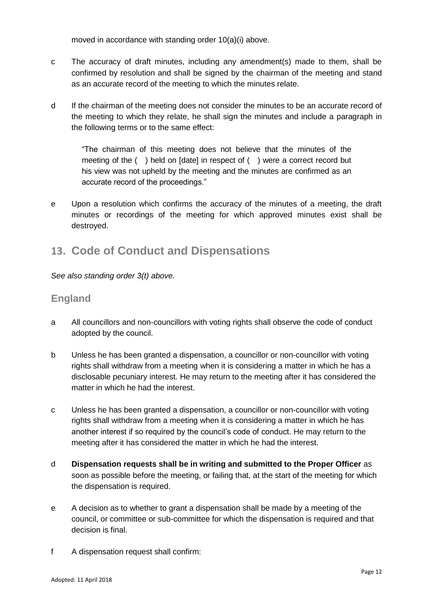moved in accordance with standing order 10(a)(i) above.

- c The accuracy of draft minutes, including any amendment(s) made to them, shall be confirmed by resolution and shall be signed by the chairman of the meeting and stand as an accurate record of the meeting to which the minutes relate.
- d If the chairman of the meeting does not consider the minutes to be an accurate record of the meeting to which they relate, he shall sign the minutes and include a paragraph in the following terms or to the same effect:

"The chairman of this meeting does not believe that the minutes of the meeting of the ( ) held on [date] in respect of ( ) were a correct record but his view was not upheld by the meeting and the minutes are confirmed as an accurate record of the proceedings."

e Upon a resolution which confirms the accuracy of the minutes of a meeting, the draft minutes or recordings of the meeting for which approved minutes exist shall be destroyed.

### **13. Code of Conduct and Dispensations**

*See also standing order 3(t) above.* 

#### **England**

- a All councillors and non-councillors with voting rights shall observe the code of conduct adopted by the council.
- b Unless he has been granted a dispensation, a councillor or non-councillor with voting rights shall withdraw from a meeting when it is considering a matter in which he has a disclosable pecuniary interest. He may return to the meeting after it has considered the matter in which he had the interest.
- c Unless he has been granted a dispensation, a councillor or non-councillor with voting rights shall withdraw from a meeting when it is considering a matter in which he has another interest if so required by the council's code of conduct. He may return to the meeting after it has considered the matter in which he had the interest.
- d **Dispensation requests shall be in writing and submitted to the Proper Officer** as soon as possible before the meeting, or failing that, at the start of the meeting for which the dispensation is required.
- e A decision as to whether to grant a dispensation shall be made by a meeting of the council, or committee or sub-committee for which the dispensation is required and that decision is final.
- f A dispensation request shall confirm: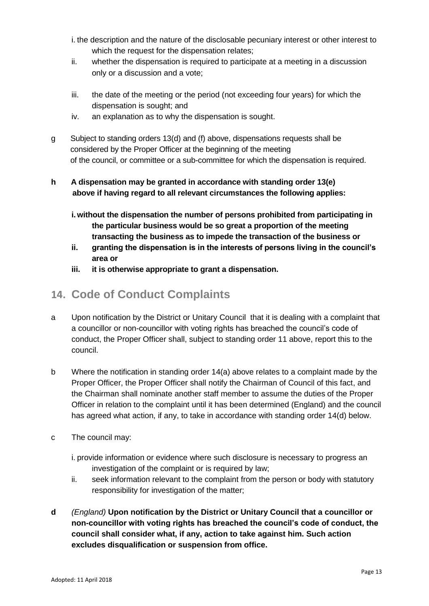- i. the description and the nature of the disclosable pecuniary interest or other interest to which the request for the dispensation relates;
- ii. whether the dispensation is required to participate at a meeting in a discussion only or a discussion and a vote;
- iii. the date of the meeting or the period (not exceeding four years) for which the dispensation is sought; and
- iv. an explanation as to why the dispensation is sought.
- g Subject to standing orders 13(d) and (f) above, dispensations requests shall be considered by the Proper Officer at the beginning of the meeting of the council, or committee or a sub-committee for which the dispensation is required.

#### **h A dispensation may be granted in accordance with standing order 13(e) above if having regard to all relevant circumstances the following applies:**

- **i.without the dispensation the number of persons prohibited from participating in the particular business would be so great a proportion of the meeting transacting the business as to impede the transaction of the business or**
- **ii. granting the dispensation is in the interests of persons living in the council's area or**
- **iii. it is otherwise appropriate to grant a dispensation.**

# **14. Code of Conduct Complaints**

- a Upon notification by the District or Unitary Council that it is dealing with a complaint that a councillor or non-councillor with voting rights has breached the council's code of conduct, the Proper Officer shall, subject to standing order 11 above, report this to the council.
- b Where the notification in standing order 14(a) above relates to a complaint made by the Proper Officer, the Proper Officer shall notify the Chairman of Council of this fact, and the Chairman shall nominate another staff member to assume the duties of the Proper Officer in relation to the complaint until it has been determined (England) and the council has agreed what action, if any, to take in accordance with standing order 14(d) below.
- c The council may:
	- i. provide information or evidence where such disclosure is necessary to progress an investigation of the complaint or is required by law;
	- ii. seek information relevant to the complaint from the person or body with statutory responsibility for investigation of the matter;
- **d** *(England)* **Upon notification by the District or Unitary Council that a councillor or non-councillor with voting rights has breached the council's code of conduct, the council shall consider what, if any, action to take against him. Such action excludes disqualification or suspension from office.**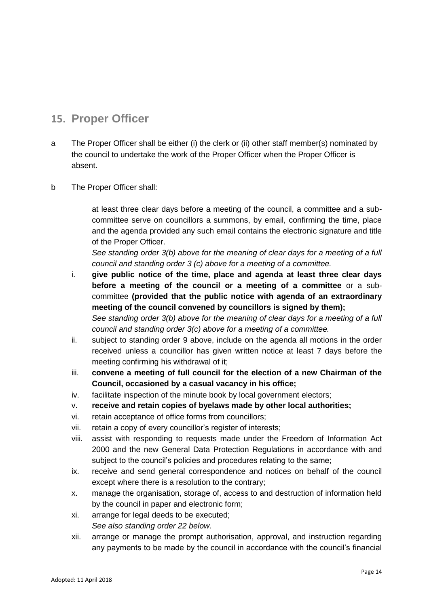## **15. Proper Officer**

- a The Proper Officer shall be either (i) the clerk or (ii) other staff member(s) nominated by the council to undertake the work of the Proper Officer when the Proper Officer is absent.
- b The Proper Officer shall:

at least three clear days before a meeting of the council, a committee and a subcommittee serve on councillors a summons, by email, confirming the time, place and the agenda provided any such email contains the electronic signature and title of the Proper Officer.

*See standing order 3(b) above for the meaning of clear days for a meeting of a full council and standing order 3 (c) above for a meeting of a committee.*

- i. **give public notice of the time, place and agenda at least three clear days before a meeting of the council or a meeting of a committee** or a subcommittee **(provided that the public notice with agenda of an extraordinary meeting of the council convened by councillors is signed by them);** *See standing order 3(b) above for the meaning of clear days for a meeting of a full council and standing order 3(c) above for a meeting of a committee.*
- ii. subject to standing order 9 above, include on the agenda all motions in the order received unless a councillor has given written notice at least 7 days before the meeting confirming his withdrawal of it;
- iii. **convene a meeting of full council for the election of a new Chairman of the Council, occasioned by a casual vacancy in his office;**
- iv. facilitate inspection of the minute book by local government electors;
- v. **receive and retain copies of byelaws made by other local authorities;**
- vi. retain acceptance of office forms from councillors;
- vii. retain a copy of every councillor's register of interests;
- viii. assist with responding to requests made under the Freedom of Information Act 2000 and the new General Data Protection Regulations in accordance with and subject to the council's policies and procedures relating to the same;
- ix. receive and send general correspondence and notices on behalf of the council except where there is a resolution to the contrary;
- x. manage the organisation, storage of, access to and destruction of information held by the council in paper and electronic form;
- xi. arrange for legal deeds to be executed; *See also standing order 22 below.*
- xii. arrange or manage the prompt authorisation, approval, and instruction regarding any payments to be made by the council in accordance with the council's financial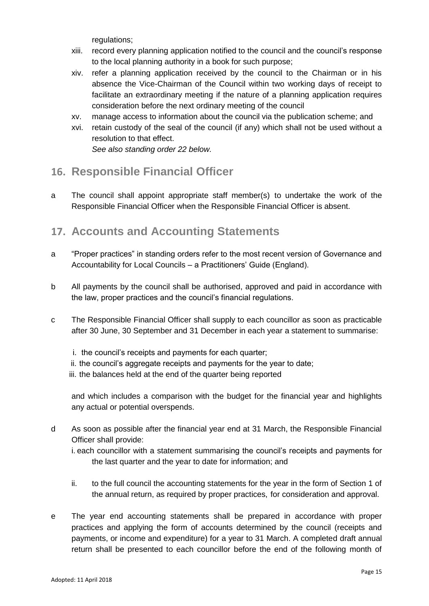regulations;

- xiii. record every planning application notified to the council and the council's response to the local planning authority in a book for such purpose;
- xiv. refer a planning application received by the council to the Chairman or in his absence the Vice-Chairman of the Council within two working days of receipt to facilitate an extraordinary meeting if the nature of a planning application requires consideration before the next ordinary meeting of the council
- xv. manage access to information about the council via the publication scheme; and
- xvi. retain custody of the seal of the council (if any) which shall not be used without a resolution to that effect.

*See also standing order 22 below.*

### **16. Responsible Financial Officer**

a The council shall appoint appropriate staff member(s) to undertake the work of the Responsible Financial Officer when the Responsible Financial Officer is absent.

### **17. Accounts and Accounting Statements**

- a "Proper practices" in standing orders refer to the most recent version of Governance and Accountability for Local Councils – a Practitioners' Guide (England).
- b All payments by the council shall be authorised, approved and paid in accordance with the law, proper practices and the council's financial regulations.
- c The Responsible Financial Officer shall supply to each councillor as soon as practicable after 30 June, 30 September and 31 December in each year a statement to summarise:
	- i. the council's receipts and payments for each quarter;
	- ii. the council's aggregate receipts and payments for the year to date;
	- iii. the balances held at the end of the quarter being reported

and which includes a comparison with the budget for the financial year and highlights any actual or potential overspends.

- d As soon as possible after the financial year end at 31 March, the Responsible Financial Officer shall provide:
	- i. each councillor with a statement summarising the council's receipts and payments for the last quarter and the year to date for information; and
	- ii. to the full council the accounting statements for the year in the form of Section 1 of the annual return, as required by proper practices, for consideration and approval.
- e The year end accounting statements shall be prepared in accordance with proper practices and applying the form of accounts determined by the council (receipts and payments, or income and expenditure) for a year to 31 March. A completed draft annual return shall be presented to each councillor before the end of the following month of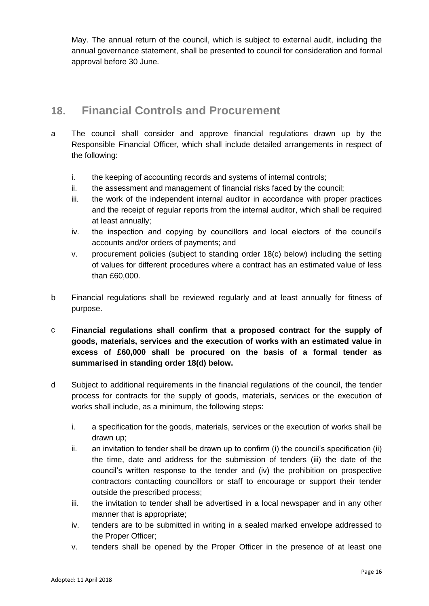May. The annual return of the council, which is subject to external audit, including the annual governance statement, shall be presented to council for consideration and formal approval before 30 June.

# **18. Financial Controls and Procurement**

- a The council shall consider and approve financial regulations drawn up by the Responsible Financial Officer, which shall include detailed arrangements in respect of the following:
	- i. the keeping of accounting records and systems of internal controls;
	- ii. the assessment and management of financial risks faced by the council;
	- iii. the work of the independent internal auditor in accordance with proper practices and the receipt of regular reports from the internal auditor, which shall be required at least annually;
	- iv. the inspection and copying by councillors and local electors of the council's accounts and/or orders of payments; and
	- v. procurement policies (subject to standing order 18(c) below) including the setting of values for different procedures where a contract has an estimated value of less than £60,000.
- b Financial regulations shall be reviewed regularly and at least annually for fitness of purpose.
- c **Financial regulations shall confirm that a proposed contract for the supply of goods, materials, services and the execution of works with an estimated value in excess of £60,000 shall be procured on the basis of a formal tender as summarised in standing order 18(d) below.**
- d Subject to additional requirements in the financial regulations of the council, the tender process for contracts for the supply of goods, materials, services or the execution of works shall include, as a minimum, the following steps:
	- i. a specification for the goods, materials, services or the execution of works shall be drawn up;
	- ii. an invitation to tender shall be drawn up to confirm (i) the council's specification (ii) the time, date and address for the submission of tenders (iii) the date of the council's written response to the tender and (iv) the prohibition on prospective contractors contacting councillors or staff to encourage or support their tender outside the prescribed process;
	- iii. the invitation to tender shall be advertised in a local newspaper and in any other manner that is appropriate;
	- iv. tenders are to be submitted in writing in a sealed marked envelope addressed to the Proper Officer;
	- v. tenders shall be opened by the Proper Officer in the presence of at least one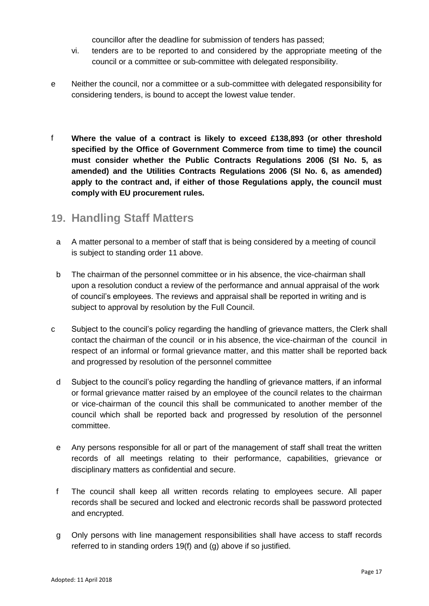councillor after the deadline for submission of tenders has passed;

- vi. tenders are to be reported to and considered by the appropriate meeting of the council or a committee or sub-committee with delegated responsibility.
- e Neither the council, nor a committee or a sub-committee with delegated responsibility for considering tenders, is bound to accept the lowest value tender.
- f **Where the value of a contract is likely to exceed £138,893 (or other threshold specified by the Office of Government Commerce from time to time) the council must consider whether the Public Contracts Regulations 2006 (SI No. 5, as amended) and the Utilities Contracts Regulations 2006 (SI No. 6, as amended) apply to the contract and, if either of those Regulations apply, the council must comply with EU procurement rules.**

### **19. Handling Staff Matters**

- a A matter personal to a member of staff that is being considered by a meeting of council is subject to standing order 11 above.
- b The chairman of the personnel committee or in his absence, the vice-chairman shall upon a resolution conduct a review of the performance and annual appraisal of the work of council's employees. The reviews and appraisal shall be reported in writing and is subject to approval by resolution by the Full Council.
- c Subject to the council's policy regarding the handling of grievance matters, the Clerk shall contact the chairman of the council or in his absence, the vice-chairman of the council in respect of an informal or formal grievance matter, and this matter shall be reported back and progressed by resolution of the personnel committee
	- d Subject to the council's policy regarding the handling of grievance matters, if an informal or formal grievance matter raised by an employee of the council relates to the chairman or vice-chairman of the council this shall be communicated to another member of the council which shall be reported back and progressed by resolution of the personnel committee.
	- e Any persons responsible for all or part of the management of staff shall treat the written records of all meetings relating to their performance, capabilities, grievance or disciplinary matters as confidential and secure.
	- f The council shall keep all written records relating to employees secure. All paper records shall be secured and locked and electronic records shall be password protected and encrypted.
	- g Only persons with line management responsibilities shall have access to staff records referred to in standing orders 19(f) and (g) above if so justified.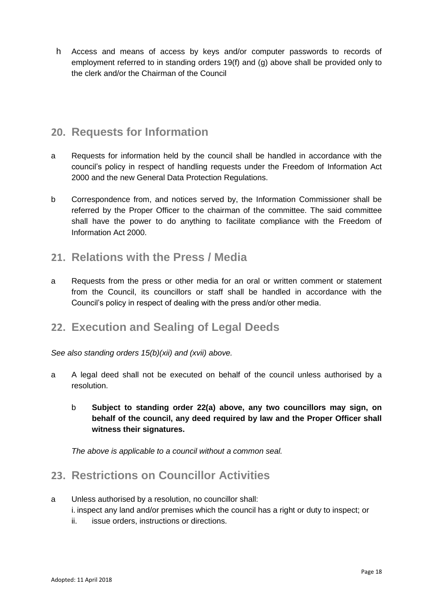h Access and means of access by keys and/or computer passwords to records of employment referred to in standing orders 19(f) and (g) above shall be provided only to the clerk and/or the Chairman of the Council

### **20. Requests for Information**

- a Requests for information held by the council shall be handled in accordance with the council's policy in respect of handling requests under the Freedom of Information Act 2000 and the new General Data Protection Regulations.
- b Correspondence from, and notices served by, the Information Commissioner shall be referred by the Proper Officer to the chairman of the committee. The said committee shall have the power to do anything to facilitate compliance with the Freedom of Information Act 2000.

### **21. Relations with the Press / Media**

a Requests from the press or other media for an oral or written comment or statement from the Council, its councillors or staff shall be handled in accordance with the Council's policy in respect of dealing with the press and/or other media.

# **22. Execution and Sealing of Legal Deeds**

*See also standing orders 15(b)(xii) and (xvii) above.*

- a A legal deed shall not be executed on behalf of the council unless authorised by a resolution.
	- b **Subject to standing order 22(a) above, any two councillors may sign, on behalf of the council, any deed required by law and the Proper Officer shall witness their signatures.**

*The above is applicable to a council without a common seal.*

# **23. Restrictions on Councillor Activities**

- a Unless authorised by a resolution, no councillor shall: i. inspect any land and/or premises which the council has a right or duty to inspect; or
	- ii. issue orders, instructions or directions.